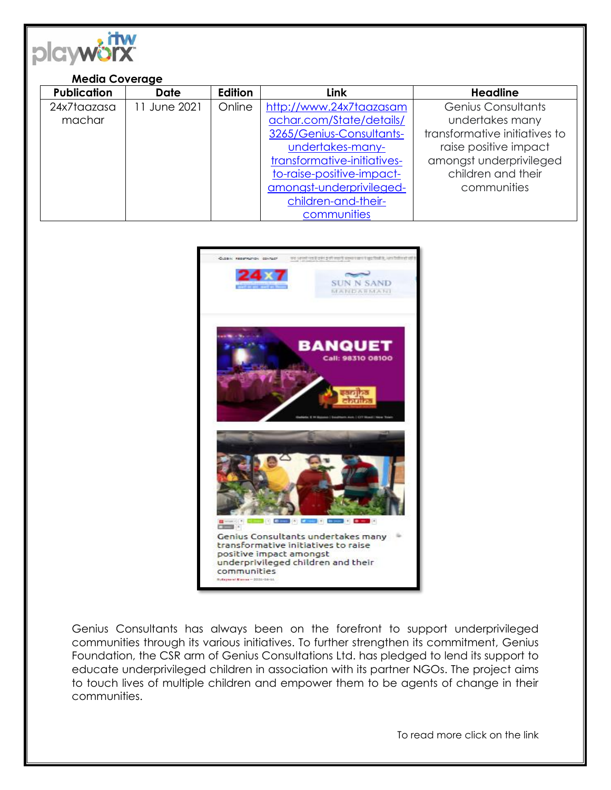

## **Media Coverage**

| <b>Publication</b> | <b>Date</b>  | Edition | <b>Link</b>                 | <b>Headline</b>               |
|--------------------|--------------|---------|-----------------------------|-------------------------------|
| 24x7taazasa        | 11 June 2021 | Online  | http://www.24x7taazasam     | Genius Consultants            |
| machar             |              |         | achar.com/State/details/    | undertakes many               |
|                    |              |         | 3265/Genius-Consultants-    | transformative initiatives to |
|                    |              |         | undertakes-many-            | raise positive impact         |
|                    |              |         | transformative-initiatives- | amongst underprivileged       |
|                    |              |         | to-raise-positive-impact-   | children and their            |
|                    |              |         | amongst-underprivileged-    | communities                   |
|                    |              |         | children-and-their-         |                               |
|                    |              |         | communities                 |                               |



Genius Consultants has always been on the forefront to support underprivileged communities through its various initiatives. To further strengthen its commitment, Genius Foundation, the CSR arm of Genius Consultations Ltd. has pledged to lend its support to educate underprivileged children in association with its partner NGOs. The project aims to touch lives of multiple children and empower them to be agents of change in their communities.

To read more click on the link